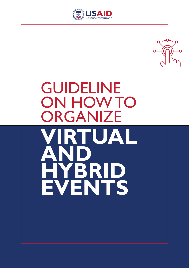

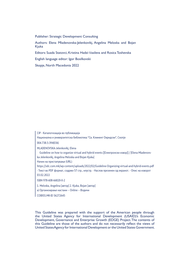Publisher: Strategic Development Consulting

Authors: Elena Mladenovska-Jelenkovikj, Angelina Meloska and Bojan Kjuka

Editors: Suada Statovci, Kristina Hadzi-Vasileva and Rosica Toshevska

English language editor: Igor Bosilkovski

Skopje, North Macedonia 2022

CIP - Каталогизација во публикација

Национална и универзитетска библиотека "Св. Климент Охридски", Скопје

004.738.5:394(036)

MLADENOVSKA-Jelenkovikj, Elena

 Guideline on how to organize virtual and hybrid events [[Електронски извор]] / [Elena Mladenovska-Jelenkovikj, Angelina Meloska and Bojan Kjuka]

Начин на пристапување (URL):

https://sdc.com.mk/wp-content/uploads/2022/02/Guideline-Organizing-virtual-and-hybrid-events.pdf - Текст во PDF формат, содржи 57 стр., илустр. - Наслов преземен од екранот. - Опис на изворот 03.02.2022

ISBN 978-608-66820-0-2

1. Meloska, Angelina [автор] 2. Kjuka, Bojan [автор]

а) Организирање настани -- Online -- Водичи

COBISS.MK-ID 56272645

This Guideline was prepared with the support of the American people through the United States Agency for International Development (USAID)'s Economic Development, Governance and Enterprise Growth (EDGE) Project. The contents of this Guideline are those of the authors and do not necessarily reflect the views of United States Agency for International Development or the United States Government.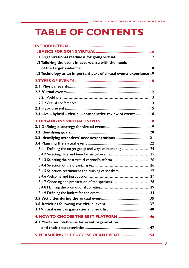# **TABLE OF CONTENTS**

| 1.1 Organizational readiness for going virtual 7                   |
|--------------------------------------------------------------------|
| 1.2 Tailoring the event in accordance with the needs               |
|                                                                    |
| 1.3 Technology as an important part of virtual events experience 9 |
|                                                                    |
|                                                                    |
|                                                                    |
|                                                                    |
|                                                                    |
|                                                                    |
| 2.4 Live - hybrid - virtual - comparative review of events  16     |
|                                                                    |
|                                                                    |
|                                                                    |
| 3.3 Identifying attendees' needs/expectations 21                   |
|                                                                    |
|                                                                    |
| 3.4.1 Defining the target group and ways of recruiting 24          |
|                                                                    |
|                                                                    |
|                                                                    |
|                                                                    |
|                                                                    |
|                                                                    |
|                                                                    |
|                                                                    |
|                                                                    |
|                                                                    |
|                                                                    |
| 4. HOW TO CHOOSE THE BEST PLATFORM  46                             |
| 4.1 Most used platforms for event organization                     |
|                                                                    |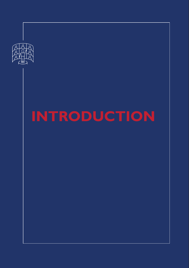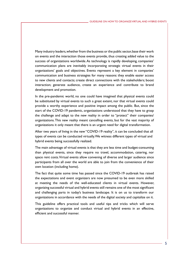Many industry leaders, whether from the business or the public sector, base their work on events and the interaction those events provide, thus creating added value to the success of organizations worldwide. As technology is rapidly developing, companies' communication plans are inevitably incorporating strategic virtual events in their organizations' goals and objectives. Events represent a key element in companies' communication and business strategies for many reasons: they enable easier access to new clients and contacts; create direct connections with the stakeholders; boost interaction; generate audience, create an experience and contribute to brand development and promotion.

In the pre-pandemic world, no one could have imagined that physical events could be substituted by virtual events to such a great extent, nor that virtual events could provide a worthy experience and positive impact among the public. But, since the start of the COVID-19 pandemic, organizations understood that they have to grasp the challenge and adapt to the new reality in order to "protect" their companies/ organizations. This new reality meant cancelling events, but for the vast majority of organizations it only meant that there is an urgent need for digital transformation.

After two years of living in the new "COVID-19 reality", it can be concluded that all types of events can be conducted virtually. We witness different types of virtual and hybrid events being successfully realized.

The main advantage of virtual events is that they are less time and budget-consuming than physical events, since they require no travel, accommodation, catering, nor space rent costs. Virtual events allow convening of diverse and larger audience since participants from all over the world are able to join from the convenience of their own location (including home).

The fact that quite some time has passed since the COVID-19 outbreak has raised the expectations and event organizers are now presumed to be even more skilled at meeting the needs of the well-educated clients in virtual events. However, organizing successful virtual and hybrid events still remains one of the most significant and challenging parts in today's business landscape. It is on us to transform our organizations in accordance with the needs of the digital society and capitalize on it.

This guideline offers practical tools and useful tips and tricks which will serve organizations to organize and conduct virtual and hybrid events in an effective, efficient and successful manner.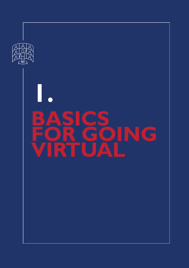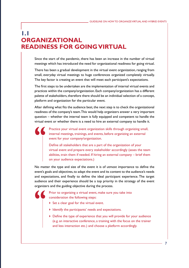# **1.1 ORGANIZATIONAL READINESS FOR GOING VIRTUAL**

Since the start of the pandemic, there has been an increase in the number of virtual meetings which has introduced the need for organizational readiness for going virtual.

There has been a gradual development in the virtual event organization, ranging from small, everyday virtual meetings to huge conferences organized completely virtually. The key factor is creating an event that will meet each participant's expectations.

The first steps to be undertaken are the implementation of internal virtual events and practices within the company/organization. Each company/organization has a different palette of stakeholders, therefore there should be an individual selection of a concept, platform and organization for the particular event.

After defining what fits the audience best, the next step is to check the organizational readiness of the company's team. This would help organizers answer a very important question – whether the internal team is fully equipped and competent to handle the virtual event or whether there is a need to hire an external company to handle it.

Practice your virtual event organization skills through organizing small, internal meetings, trainings, and events, before organizing an external event for your company/organization.

Define all stakeholders that are a part of the organization of your virtual event and prepare every stakeholder accordingly (asses the team abilities, train them if needed. If hiring an external company – brief them on your audience expectations.)

No matter the type and size of the event it is of utmost importance to define the event's goals and objectives, to adapt the event and its content to the audience's needs and expectations, and finally to define the ideal participant experience. The target audience and their experience should be a top priority in the strategy of the event organizers and the guiding objective during the process.

> Prior to organizing a virtual event, make sure you take into consideration the following steps:

- $\triangleright$  Set a clear goal for the virtual event.
- I Identify the participants' needs and expectations.
- Define the type of experience that you will provide for your audience (e.g. an interactive conference, a training with the focus on the trainer and less interaction etc.) and choose a platform accordingly.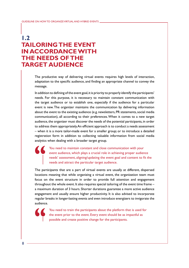# **1.2 TAILORING THE EVENT IN ACCORDANCE WITH THE NEEDS OF THE TARGET AUDIENCE**

The productive way of delivering virtual events requires high levels of interaction, adaptation to the specific audience, and finding an appropriate channel to convey the message.

In addition to defining of the event goal, it is priority to properly identify the participants' needs. For this purpose, it is necessary to maintain constant communication with the target audience or to establish one, especially if the audience for a particular event is new. The organizer maintains the communication by delivering information about the event to the existing audience (e.g. newsletters, PR statements, social media communication), all according to their preferences. When it comes to a new target audience, the organizer must discover the needs of the potential participants, in order to address them appropriately. An efficient approach is to conduct a needs assessment – when it is a more tailor-made event for a smaller group; or to introduce a detailed registration form in addition to collecting valuable information from social media analytics when dealing with a broader target group.

> You need to maintain constant and close communication with your event audience, which plays a crucial role in achieving proper audience needs' assessment, aligning/updating the event goal and content to fit the needs and attract the particular target audience.

The participants that are a part of virtual events are usually at different, dispersed locations meaning that while organizing a virtual event, the organization team must focus on the event structure in order to provide full attention and engagement throughout the whole event. It also requires special tailoring of the event time frame – a maximum duration of 3 hours. Shorter durations guarantee a more active audience engagement and usually ensure higher productivity. It is also advised to incorporate regular breaks in longer-lasting events and even introduce energizers to invigorate the audience.

> You need to train the participants about the platform that is used for the event prior to the event. Every event should be as impactful as possible and create positive change for the participants.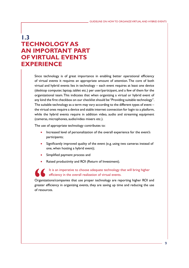# **1.3 TECHNOLOGY AS AN IMPORTANT PART OF VIRTUAL EVENTS EXPERIENCE**

Since technology is of great importance in enabling better operational efficiency of virtual events it requires an appropriate amount of attention. The core of both virtual and hybrid events lies in technology – each event requires at least one device (desktop computer, laptop, tablet etc.) per user/participant, and a few of them for the organizational team. This indicates that when organizing a virtual or hybrid event of any kind the first checkbox on our checklist should be "Providing suitable technology". The suitable technology as a term may vary according to the different types of event – the virtual ones require a device and stable internet connection for login to a platform, while the hybrid events require in addition video, audio and streaming equipment (cameras, microphones, audio/video mixers etc.).

The use of appropriate technology contributes to:

- Increased level of personalization of the overall experience for the event's participants;
- Significantly improved quality of the event (e.g. using two cameras instead of one, when hosting a hybrid event);
- Simplified payment process and
- Raised productivity and ROI (Return of Investment).

It is an imperative to choose adequate technology that will bring higher efficiency in the overall realization of virtual events.

Organizations/companies that use proper technology are reporting higher ROI and greater efficiency in organizing events, they are saving up time and reducing the use of resources.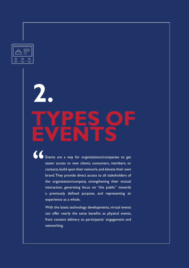

 $\overline{1}$ 

# **TYPES OF EVENTS 2.**

GUIDELINE ON HOW TO ORGANIZE VIRTUAL AND HYBRID EVENTS

Events are a way for organizations/companies to get easier access to new clients, consumers, members, or contacts, build upon their network, and elevate their own brand. They provide direct access to all stakeholders of the organization/company, strengthening their mutual interaction, generating focus on "the public" towards a previously defined purpose, and representing an experience as a whole.

With the latest technology developments, virtual events can offer nearly the same benefits as physical events, from content delivery to participants' engagement and networking.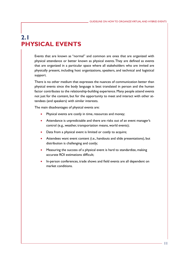# **2.1 PHYSICAL EVENTS**

Events that are known as "normal" and common are ones that are organized with physical attendance or better known as physical events. They are defined as events that are organized in a particular space where all stakeholders who are invited are physically present, including host organizations, speakers, and technical and logistical support.

There is no other medium that expresses the nuances of communication better than physical events since the body language is best translated in person and the human factor contributes to the relationship-building experience. Many people attend events not just for the content, but for the opportunity to meet and interact with other attendees (and speakers) with similar interests.

The main disadvantages of physical events are:

- Physical events are costly in time, resources and money;
- Attendance is unpredictable and there are risks out of an event manager's control (e.g., weather, transportation means, world events);
- Data from a physical event is limited or costly to acquire;
- Attendees want event content (i.e., handouts and slide presentations), but distribution is challenging and costly;
- Measuring the success of a physical event is hard to standardize, making accurate ROI estimations difficult;
- In-person conferences, trade shows and field events are all dependent on market conditions.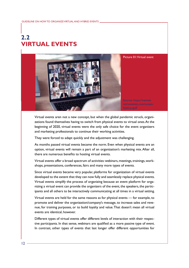# **2.2 VIRTUAL EVENTS**



Virtual events aren not a new concept, but when the global pandemic struck, organizations found themselves having to switch from physical events to virtual ones. At the beginning of 2020, virtual events were the only safe choice for the event organizers and marketing professionals to continue their working activities.

They were forced to adapt quickly and the adjustment was challenging.

As months passed virtual events became the norm. Even when physical events are an option, virtual events will remain a part of an organization's marketing mix. After all, there are numerous benefits to hosting virtual events.

Virtual events offer a broad spectrum of activities: webinars, meetings, trainings, workshops, presentations, conferences, fairs and many more types of events.

Since virtual events became very popular, platforms for organization of virtual events developed to the extent that they can now fully and seamlessly replace physical events. Virtual events simplify the process of organizing because an event platform for organizing a virtual event can provide the organizers of the event, the speakers, the participants and all others to be interactively communicating at all times in a virtual setting.

Virtual events are held for the same reasons as for physical events — for example, to promote and deliver the organization/company's message, to increase sales and revenue, for training purposes, or to build loyalty and value. That doesn't mean all virtual events are identical, however.

Different types of virtual events offer different levels of interaction with their respective participants. In that sense, webinars are qualified as a more passive type of event. In contrast, other types of events that last longer offer different opportunities for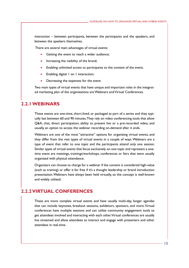interaction – between participants, between the participants and the speakers, and between the speakers themselves.

There are several main advantages of virtual events:

- Getting the event to reach a wider audience;
- Increasing the visibility of the brand;
- Enabling unlimited access to participants to the content of the event;
- Enabling digital 1 on 1 interaction;
- Decreasing the expenses for the event.

Two main types of virtual events that have unique and important roles in the integrated marketing plan of the organizations are Webinars and Virtual Conferences.

## **2.2.1 WEBINARS**

These events are one-time, short-lived, or packaged as part of a series and they typically last between 60 and 90 minutes. They rely on video conferencing tools that allow Q&A, chat, direct participation, ability to present live or a pre-recorded video, and usually, an option to access the webinar recording on-demand after it ends.

Webinars are one of the most "attractive" options for organizing virtual events, and they differ from the rest types of virtual events in a couple of ways. Webinars are a type of event that refer to one topic and the participants attend only one session. Similar types of virtual events that focus exclusively on one topic and represent a onetime event are meetings, trainings/workshops, conferences or fairs that were usually organized with physical attendance.

Organizers can choose to charge for a webinar if the content is considered high-value (such as training) or offer it for free if it's a thought leadership or brand introduction presentation. Webinars have always been held virtually, so the concept is well-known and widely utilized.

## **2.2.2 VIRTUAL CONFERENCES**

These are more complex virtual events and have usually multi-day, longer agendas that can include keynotes, breakout sessions, exhibitors, sponsors, and more. Virtual conferences have multiple sessions and can utilize community engagement tools to get attendees involved and interacting with each other. Virtual conferences are usually live streamed and allow attendees to interact and engage with presenters and other attendees in real-time.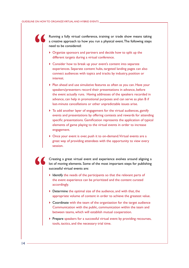Running a fully virtual conference, training or trade show means taking a creative approach to how you run a physical event. The following steps need to be considered:

- Organize sponsors and partners and decide how to split up the different targets during a virtual conference.
- ▶ Consider how to break up your event's content into separate experiences. Separate content hubs, targeted landing pages can also connect audiences with topics and tracks by industry, position or interest.
- Plan ahead and use simulative features as often as you can. Have your speakers/presenters record their presentations in advance, before the event actually runs. Having addresses of the speakers recorded in advance, can help in promotional purposes and can serve as plan B if last-minute cancellations or other unpredictable issues arise.
- $\triangleright$  To add another layer of engagement for the virtual audiences, gamify events and presentations by offering contests and rewards for attending specific presentations. Gamification represents the application of typical elements of game playing to the virtual events in order to increase engagement.
- ▶ Once your event is over, push it to on-demand. Virtual events are a great way of providing attendees with the opportunity to view every session.

Creating a great virtual event and experience evolves around aligning a lot of moving elements. Some of the most important steps for publishing successful virtual events are:

- $\blacktriangleright$  Identify the needs of the participants so that the relevant parts of the event experience can be prioritized and the content curated accordingly.
- ▶ Determine the optimal size of the audience, and with that, the appropriate volume of content in order to achieve the greatest value.
- ▶ Coordinate with the team of the organization for the target audience Communication with the public, communication within the team and between teams, which will establish mutual cooperation.
- Prepare speakers for a successful virtual event by providing recourses, tools, tactics, and the necessary trial time.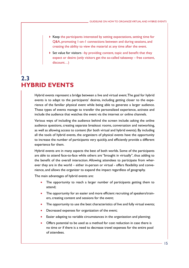- $\blacktriangleright$  Keep the participants interested by setting expectations, setting time for Q&A, promoting 1-on-1 connections between and during sessions, and creating the ability to view the material at any time after the event.
- $\triangleright$  Set value for visitors -by providing content, topic and benefit that they expect or desire (only visitors get the so-called takeaway – free content, discount…)

# **2.3 HYBRID EVENTS**

Hybrid events represent a bridge between a live and virtual event. The goal for hybrid events is to adapt to the participants' desires, including getting closer to the experience of the familiar physical event while being able to generate a larger audience. These types of events manage to transfer the personalized experience, activate and include the audience that watches the event via the internet or online channels.

Various ways of including the audience behind the screen include: asking the online audience questions, creating separate breakout rooms, conversation and networking, as well as allowing access to content (for both virtual and hybrid events). By including all the tools of hybrid events, the organizers of physical events have the opportunity to increase the number of participants very quickly, and efficiently provide a different experience for them.

Hybrid events are in many aspects the best of both worlds. Some of the participants are able to attend face-to-face while others are "brought in virtually", thus adding to the benefit of the overall interaction. Allowing attendees to participate from wherever they are in the world – either in-person or virtual - offers flexibility and convenience, and allows the organizer to expand the impact regardless of geography.

The main advantages of hybrid events are:

- The opportunity to reach a larger number of participants getting them to attend;
- The opportunity for an easier and more efficient recruiting of speakers/trainers, creating content and sessions for the event;
- The opportunity to use the best characteristics of live and fully virtual events;
- Decreased expenses for organization of the event;
- Easier adapting to variable circumstances in the organization and planning;
- Offers potential to be used as a method for cost reduction in case there is no time or if there is a need to decrease travel expenses for the entire pool of attendees.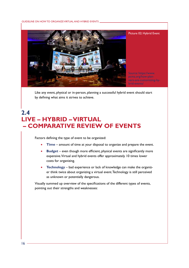GUIDELINE ON HOW TO ORGANIZE VIRTUAL AND HYBRID EVENTS



Like any event, physical or in-person, planning a successful hybrid event should start by defining what aims it strives to achieve.

# **2.4 LIVE – HYBRID – VIRTUAL – COMPARATIVE REVIEW OF EVENTS**

Factors defining the type of event to be organized:

- **Time** amount of time at your disposal to organize and prepare the event.
- **Budget** even though more efficient, physical events are significantly more expensive. Virtual and hybrid events offer approximately 10 times lower costs for organizing.
- **Technology** bad experience or lack of knowledge can make the organizer think twice about organizing a virtual event. Technology is still perceived as unknown or potentially dangerous.

Visually summed up overview of the specifications of the different types of events, pointing out their strengths and weaknesses: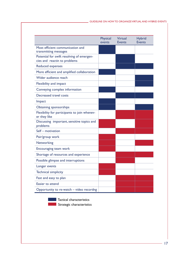|                                                                           | Physical<br>events | <b>Virtual</b><br><b>Events</b> | <b>Hybrid</b><br><b>Events</b> |
|---------------------------------------------------------------------------|--------------------|---------------------------------|--------------------------------|
| Most efficient communication and<br>transmitting messages                 |                    |                                 |                                |
| Potential for swift resolving of emergen-<br>cies and reactin to problems |                    |                                 |                                |
| <b>Reduced expenses</b>                                                   |                    |                                 |                                |
| More efficient and amplified collaboration                                |                    |                                 |                                |
| Wider audience reach                                                      |                    |                                 |                                |
| Flexibility and impact                                                    |                    |                                 |                                |
| Conveying complex information                                             |                    |                                 |                                |
| Decreased travel costs                                                    |                    |                                 |                                |
| Impact                                                                    |                    |                                 |                                |
| <b>Obtaining sponsorships</b>                                             |                    |                                 |                                |
| Flexibility for participants to join whenev-<br>er they like              |                    |                                 |                                |
| Discussing important, sensitive topics and<br>problems                    |                    |                                 |                                |
| Self - motivation                                                         |                    |                                 |                                |
| Pair/group work                                                           |                    |                                 |                                |
| Networking                                                                |                    |                                 |                                |
| Encouraging team work                                                     |                    |                                 |                                |
| Shortage of resources and experience                                      |                    |                                 |                                |
| Possible glimpse and interruptions                                        |                    |                                 |                                |
| Longer events                                                             |                    |                                 |                                |
| <b>Technical simplicity</b>                                               |                    |                                 |                                |
| Fast and easy to plan                                                     |                    |                                 |                                |
| Easier to attend                                                          |                    |                                 |                                |
| Opportunity to re-watch - video recordng                                  |                    |                                 |                                |

**Tactical characteristics** 

Strategic characteristics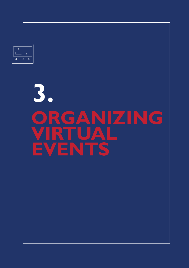

GUIDELINE ON HOW TO ORGANIZE VIRTUAL AND HYBRID EVENTS

 $\overline{1}$ 

# **ORGANIZING RTUAL EVENTS 3.**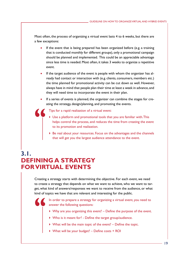Most often, the process of organizing a virtual event lasts 4 to 6 weeks, but there are a few exceptions:

- If the event that is being prepared has been organized before (e.g. a training that is conducted monthly for different groups), only a promotional campaign should be planned and implemented. This could be an appreciable advantage since less time is needed. Most often, it takes 3 weeks to organize a repetitive event.
- If the target audience of the event is people with whom the organizer has already had contact or interaction with (e.g. clients, consumers, members etc.) the time planned for promotional activity can be cut down as well. However, always have in mind that people plan their time at least a week in advance, and they will need time to incorporate the event in their plan.
- If a series of events is planned, the organizer can combine the stages for creating the strategy, design/planning, and promoting the events.

Tips for a rapid realization of a virtual event:

- Use a platform and promotional tools that you are familiar with. This helps control the process, and reduces the time from creating the event to its promotion and realization.
- Be real about your resources. Focus on the advantages and the channels that will get you the largest audience attendance to the event.

# **3.1. DEFINING A STRATEGY FOR VIRTUAL EVENTS**

Creating a strategy starts with determining the objective. For each event, we need to create a strategy that depends on what we want to achieve, who we want to target, what kind of answers/responses we want to receive from the audience, or what kind of topics we have that are relevant and interesting for the public.

> In order to prepare a strategy for organizing a virtual event, you need to answer the following questions:

- $\triangleright$  Why are you organizing this event? Define the purpose of the event.
- Who is it meant for? Define the target group/audience.
- What will be the main topic of the event? Define the topic.
- ▶ What will be your budget? Define costs + ROI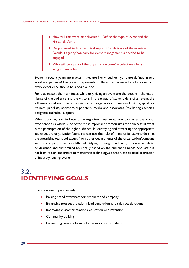- $\triangleright$  How will the event be delivered? Define the type of event and the virtual platform.
- $\triangleright$  Do you need to hire technical support for delivery of the event? -Decide if agency/company for event management is needed to be engaged.
- ▶ Who will be a part of the organization team? Select members and assign them roles.

Events in recent years, no matter if they are live, virtual or hybrid are defined in one word – experience! Every event represents a different experience for all involved and every experience should be a positive one.

For that reason, the main focus while organizing an event are the people – the experience of the audience and the visitors. In the group of stakeholders of an event, the following stand out: participants/audience, organization team, moderators, speakers, trainers, panelists, sponsors, supporters, media and associates (marketing agencies, designers, technical support).

When launching a virtual event, the organizer must know how to master the virtual experience as a whole. One of the most important prerequisites for a successful event is the participation of the right audience. In identifying and attracting the appropriate audience, the organization/company can use the help of many of its stakeholders i.e. the organizing team, colleagues from other departments of the organization/company and the company's partners. After identifying the target audience, the event needs to be designed and customized holistically based on the audience's needs. And last but not least, it is an imperative to master the technology, so that it can be used in creation of industry-leading events.

# **3.2. IDENTIFYING GOALS**

Common event goals include:

- Raising brand awareness for products and company;
- Enhancing prospect relations, lead generation, and sales acceleration;
- Improving customer relations, education, and retention;
- Community building;
- Generating revenue from ticket sales or sponsorships;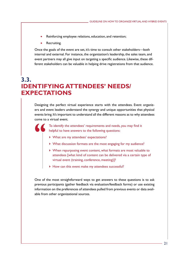- Reinforcing employee relations, education, and retention;
- Recruiting.

Once the goals of the event are set, it's time to consult other stakeholders—both internal and external. For instance, the organization's leadership, the sales team, and event partners may all give input on targeting a specific audience. Likewise, these different stakeholders can be valuable in helping drive registrations from that audience.

# **3.3. IDENTIFYING ATTENDEES' NEEDS/ EXPECTATIONS**

Designing the perfect virtual experience starts with the attendees. Event organizers and event leaders understand the synergy and unique opportunities that physical events bring. It's important to understand all the different reasons as to why attendees come to a virtual event.

> To identify the attendees' requirements and needs, you may find it helpful to have answers to the following questions:

- What are my attendees' expectations?
- What discussion formats are the most engaging for my audience?
- When repurposing event content, what formats are most valuable to attendees [what kind of content can be delivered via a certain type of virtual event (training, conference, meeting)]?
- How can this event make my attendees successful?

One of the most straightforward ways to get answers to these questions is to ask previous participants (gather feedback via evaluation/feedback forms) or use existing information on the preferences of attendees pulled from previous events or data available from other organizational sources.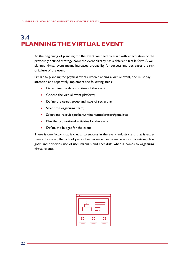# **3.4 PLANNING THE VIRTUAL EVENT**

At the beginning of planning for the event we need to start with effectuation of the previously defined strategy. Now, the event already has a different, tactile form. A well planned virtual event means increased probability for success and decreases the risk of failure of the event.

Similar to planning the physical events, when planning a virtual event, one must pay attention and separately implement the following steps:

- Determine the date and time of the event;
- Choose the virtual event platform;
- Define the target group and ways of recruiting;
- Select the organizing team;
- Select and recruit speakers/trainers/moderators/panelists;
- Plan the promotional activities for the event;
- Define the budget for the event

There is one factor that is crucial to success in the event industry, and that is experience. However, the lack of years of experience can be made up for by setting clear goals and priorities, use of user manuals and checklists when it comes to organizing virtual events.



 $22<sub>2</sub>$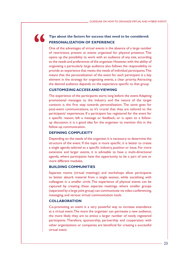# $\blacksquare$

## **Tips about the factors for success that need to be considered: PERSONALIZATION OF EXPERIENCE**

One of the advantages of virtual events is the absence of a large number of restrictions present at events organized for physical presence. This opens up the possibility to work with an audience of any size, according to the needs and preferences of the organizer. However, with the ability of organizing a particularly large audience also follows the responsibility to provide an experience that meets the needs of individual participants. This means that the personalization of the event for each participant is a key element in the strategy for organizing events, a clear priority. Attracting the desired audience depends on the experience specific to that group.

## **CUSTOMIZING ACCESS AND VIEWING**

The experience of the participants starts long before the event. Adapting promotional messages to the industry and the nature of the target contacts is the first step towards personalization. The same goes for post-event communications, as it's crucial that they are tailored to the participants' experiences. If a participant has registered for the event for a specific reason, left a message or feedback, or is open to a followup discussion, it is a good idea for the organizer to mention this in the follow-up communication.

## **DEFINING COMPLEXITY**

Depending on the needs of the organizer, it is necessary to determine the structure of the event. If the topic is more specific, it is better to create a single agenda tailored to a specific industry, position or issue. For more extensive and larger events, it is advisable to have a multi-directional agenda, where participants have the opportunity to be a part of one or more different modules.

## **BUILDING COMMUNITIES**

Separate rooms (virtual meetings) and workshops allow participants to better absorb material from a single session, while socializing with colleagues in a smaller circle. The experience of physical events can be captured by creating these separate meetings, where smaller groups (separated by a large joint group) can communicate via video conferencing, messaging, and various virtual communication tools.

## **COLLABORATION**

Co-promoting an event is a very powerful way to increase attendance at a virtual event. The more the organizer can permeate a new audience, the more likely they are to entice a larger number of newly registered participants. Therefore, sponsorship, partnership and cooperation with other organizations or companies are beneficial for creating a successful virtual event.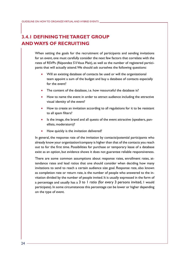# **3.4.1 DEFINING THE TARGET GROUP AND WAYS OF RECRUITING**

When setting the goals for the recruitment of participants and sending invitations for an event, one must carefully consider the next few factors that correlate with the rates of RSVPs (Répondez S'il Vous Plait), as well as the number of registered participants that will actually attend. We should ask ourselves the following questions:

- Will an existing database of contacts be used or will the organizational team appoint a sum of the budget and buy a database of contacts especially for the event?
- The content of the database, i.e. how resourceful the database is?
- How to name the event in order to attract audience including the attractive visual identity of the event?
- How to create an invitation according to all regulations for it to be resistant to all spam filters?
- Is the image, the brand and all quests of the event attractive (speakers, panellists, moderators)?
- How quickly is the invitation delivered?

In general, the response rate of the invitation by contacts/potential participants who already know your organization/company is higher than that of the contacts you reach out to for the first time. Possibilities for purchase or temporary lease of a database exist as an option, but evidence shows it does not guarantee reliable responsiveness.

There are some common assumptions about response rates, enrollment rates, attendance rates and lead ratios that one should consider when deciding how many invitations to send to reach a certain audience size goal. Response rate, also known as completion rate or return rate, is the number of people who answered to the invitation divided by the number of people invited. It is usually expressed in the form of a percentage and usually has a 3 to 1 ratio (for every 3 persons invited, 1 would participate). In some circumstances this percentage can be lower or higher depending on the type of event.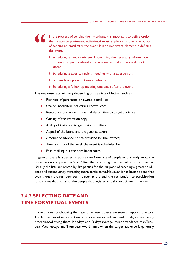In the process of sending the invitations, it is important to define option that relates to post-event activities. Almost all platforms offer the option of sending an email after the event. It is an important element in defining the event.

- $\triangleright$  Scheduling an automatic email containing the necessary information (Thanks for participating/Expressing regret that someone did not attend.);
- Scheduling a sales campaign, meetings with a salesperson;
- Sending links, presentations in advance;
- Scheduling a follow-up meeting one week after the event.

The response rate will vary depending on a variety of factors such as:

- Richness of purchased or owned e-mail list;
- Use of unsolicited lists versus known leads;
- Resonance of the event title and description to target audience;
- Quality of the invitation copy;
- Ability of invitation to get past spam filters;
- Appeal of the brand and the guest speakers;
- Amount of advance notice provided for the invitees;
- Time and day of the week the event is scheduled for;
- Ease of filling out the enrollment form.

In general, there is a better response rate from lists of people who already know the organization compared to "cold" lists that are bought or rented from 3rd parties. Usually, the lists are rented by 3rd parties for the purpose of reaching a greater audience and subsequently attracting more participants. However, it has been noticed that even though the numbers seem bigger, at the end, the registration to participation ratio shows that not all of the people that register actually participate in the events.

# **3.4.2 SELECTING DATE AND TIME FOR VIRTUAL EVENTS**

In the process of choosing the date for an event there are several important factors. The first and most important one is to avoid major holidays, and the days immediately preceding/following them. Mondays and Fridays average lower attendance than Tuesdays, Wednesdays and Thursdays. Avoid times when the target audience is generally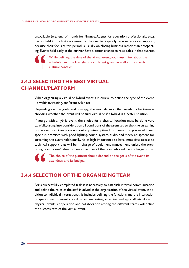unavailable (e.g., end of month for Finance, August for education professionals, etc.). Events held in the last two weeks of the quarter typically receive less sales support, because their focus at this period is usually on closing business rather than prospecting. Events held early in the quarter have a better chance to raise sales in that quarter.



While defining the date of the virtual event, you must think about the schedules and the lifestyle of your target group as well as the specific cultural context.

# **3.4.3 SELECTING THE BEST VIRTUAL CHANNEL/PLATFORM**

While organizing a virtual or hybrid event it is crucial to define the type of the event - a webinar, training, conference, fair, etc.

Depending on the goals and strategy, the next decision that needs to be taken is choosing whether the event will be fully virtual or if a hybrid is a better solution.

If you go with a hybrid event, the choice for a physical location must be done very carefully, taking into consideration all conditions of the premises so that the streaming of the event can take place without any interruption. This means that you would need spacious premises with good lighting, sound system, audio and video equipment for streaming the event. Additionally, it's of high importance to have immediate access to technical support that will be in charge of equipment management, unless the organizing team doesn't already have a member of the team who will be in charge of this.

The choice of the platform should depend on the goals of the event, its attendees, and its budget.

## **3.4.4 SELECTION OF THE ORGANIZING TEAM**

For a successfully completed task, it is necessary to establish internal communication and define the roles of the staff involved in the organization of the virtual event. In addition to individual interaction, this includes defining the functions and the interaction of specific teams: event coordinators, marketing, sales, technology staff, etc. As with physical events, cooperation and collaboration among the different teams will define the success rate of the virtual event.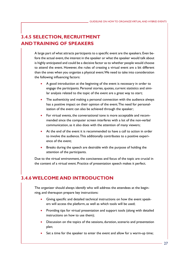# **3.4.5 SELECTION, RECRUITMENT AND TRAINING OF SPEAKERS**

A large part of what attracts participants to a specific event are the speakers. Even before the actual event, the interest in the speaker or what the speaker would talk about is highly anticipated and could be a decisive factor as to whether people would choose to attend the event. However, the rules of creating a virtual event are a bit different than the ones when you organize a physical event. We need to take into consideration the following influencing factors:

- A good introduction at the beginning of the event is necessary in order to engage the participants. Personal stories, quotes, current statistics and similar analysis related to the topic of the event are a great way to start;
- The authenticity and making a personal connection with the audience always has a positive impact on their opinion of the event. The need for personalization of the event can also be achieved through the speaker;
- For virtual events, the conversational tone is more acceptable and recommended since the computer screen interferes with a lot of the non-verbal communication, as it also does with the attention of many viewers;
- At the end of the event it is recommended to have a call to action in order to involve the audience. This additionally contributes to a positive experience of the event;
- Breaks during the speech are desirable with the purpose of holding the attention of the participants.

Due to the virtual environment, the conciseness and focus of the topic are crucial in the content of a virtual event. Practice of presentation speech makes it perfect.

# **3.4.6 WELCOME AND INTRODUCTION**

The organizer should always identify who will address the attendees at the beginning, and thereupon prepare key instructions:

- Giving specific and detailed technical instructions on how the event speakers will access the platform, as well as which tools will be used;
- Providing tips for virtual presentation and support tools (along with detailed instructions on how to use them);
- Discussion on the topics of the sessions, duration, scenario and presentation plan;
- Set a time for the speaker to enter the event and allow for a warm-up time;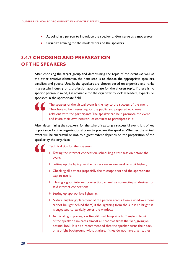- Appointing a person to introduce the speaker and/or serve as a moderator;
- Organize training for the moderators and the speakers.

# **3.4.7 CHOOSING AND PREPARATION OF THE SPEAKERS**

After choosing the target group and determining the topic of the event (as well as the other creative elements), the next step is to choose the appropriate speakers, panelists and guests. Usually, the speakers are chosen based on expertise and ranks in a certain industry or a profession appropriate for the chosen topic. If there is no specific person in mind, it is advisable for the organizer to look at leaders, experts, or sponsors in the appropriate field.



The speaker of the virtual event is the key to the success of the event. They have to be interesting for the public and prepared to create relations with the participants. The speaker can help promote the event and invite their own network of contacts to participate in it.

After determining the speakers, for the sake of realizing a successful event, it is of key importance for the organizational team to prepare the speaker. Whether the virtual event will be successful or not, to a great extent depends on the preparation of the speaker by the organizer.

Technical tips for the speakers:

- ▶ Testing the internet connection, scheduling a test session before the event;
- Setting up the laptop or the camera on an eye level or a bit higher;
- Checking all devices (especially the microphone) and the appropriate way to use it;
- Having a good internet connection, as well as connecting all devices to said internet connection;
- Setting up appropriate lightning;
- Natural lightning: placement of the person across from a window (there cannot be light behind them) if the lightning from the sun is to bright, it is suggested to partially cover the window;
- Artificial light: placing a softer, diffused lamp at a 45 ° angle in front of the speaker eliminates almost all shadows from the face, giving an optimal look. It is also recommended that the speaker turns their back on a bright background without glare. If they do not have a lamp, they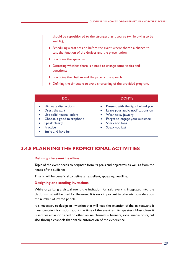should be repositioned to the strongest light source (while trying to be well lit);

- Scheduling a test session before the event, where there's a chance to test the function of the devices and the presentation;
- Practicing the speeches;
- Detecting whether there is a need to change some topics and questions;
- $\triangleright$  Practicing the rhythm and the pace of the speech;
- Defining the timetable to avoid shortening of the provided program.

| DOs.                                                                                                                                                                           | DON'Ts                                                                                                                                                                                                                              |  |  |  |  |  |  |
|--------------------------------------------------------------------------------------------------------------------------------------------------------------------------------|-------------------------------------------------------------------------------------------------------------------------------------------------------------------------------------------------------------------------------------|--|--|--|--|--|--|
| Eliminate distractions<br>Dress the part<br>$\bullet$<br>Use solid neutral colors<br>• Choose a good microphone<br>• Speak clearly<br><b>Practice</b><br>• Smile and have fun! | Present with the light behind you<br>$\bullet$<br>Leave your audio notifications on<br>$\bullet$<br>Wear noisy jewelry<br>$\bullet$<br>Forget to engage your audience<br>$\bullet$<br>Speak too long<br>$\bullet$<br>Speak too fast |  |  |  |  |  |  |

## **3.4.8 PLANNING THE PROMOTIONAL ACTIVITIES**

#### **Defining the event headline**

Topic of the event needs to originate from its goals and objectives, as well as from the needs of the audience.

Thus it will be beneficial to define an excellent, appealing headline**.**

#### **Designing and sending invitations**

While organizing a virtual event, the invitation for said event is integrated into the platform that will be used for the event. It is very important to take into consideration the number of invited people.

It is necessary to design an invitation that will keep the attention of the invitees, and it must contain information about the time of the event and its speakers. Most often, it is sent via email or placed on other online channels – banners, social media posts, but also through channels that enable automation of the experience.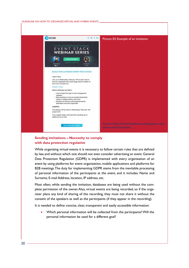#### GUIDELINE ON HOW TO ORGANIZE VIRTUAL AND HYBRID EVENTS



## **Sending invitations – Necessity to comply with data protection regulative**

While organizing virtual events it is necessary to follow certain rules that are defined by law, and without which one should not even consider advertising an event. General Data Protection Regulation (GDPR) is implemented with every organization of an event by using platforms for event organization, mobile applications and platforms for B2B meetings. The duty for implementing GDPR stems from the inevitable processing of personal information of the participants at the event, and it includes: Name and Surname, E-mail Address, location, IP address, etc.

Most often, while sending the invitation, databases are being used without the complete permission of the owner. Also, virtual events are being recorded, so if the organizer plans any kind of sharing of the recording, they must not share it without the consent of the speakers as well as the participants (if they appear in the recording).

It is needed to define concise, clear, transparent and easily accessible information:

Which personal information will be collected from the participants? Will the personal information be used for a different goal?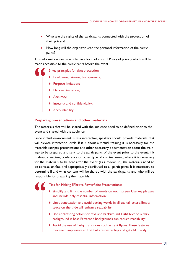- What are the rights of the participants connected with the protection of their privacy?
- How long will the organizer keep the personal information of the participants?

This information can be written in a form of a short Policy of privacy which will be made accessible to the participants before the event.

5 key principles for data protection:

- **Lawfulness, fairness, transparency;**
- Purpose limitation;
- Data minimization;
- Accuracy;
- Integrity and confidentiality;
- **Accountability.**

#### **Preparing presentations and other materials**

The materials that will be shared with the audience need to be defined prior to the event and shared with the audience.

Since virtual environment is less interactive, speakers should provide materials that will elevate interaction levels. If it is about a virtual training it is necessary for the materials (scripts, presentations and other necessary documentation about the training) to be prepared and sent to the participants of the event prior to the event. If it is about a webinar, conference or other type of a virtual event, where it is necessary for the materials to be sent after the event (as a follow up), the materials need to be concise, unified, and appropriately distributed to all participants. It is necessary to determine if and what content will be shared with the participants, and who will be responsible for preparing the materials.

- Tips for Making Effective PowerPoint Presentations:
- Simplify and limit the number of words on each screen. Use key phrases and include only essential information;
- Limit punctuation and avoid putting words in all-capital letters. Empty space on the slide will enhance readability;
- Use contrasting colors for text and background. Light text on a dark background is best. Patterned backgrounds can reduce readability;
- Avoid the use of flashy transitions such as text fly-ins. These features may seem impressive at first but are distracting and get old quickly;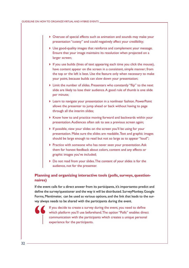- Overuse of special effects such as animation and sounds may make your presentation "cutesy" and could negatively affect your credibility;
- Use good-quality images that reinforce and complement your message. Ensure that your image maintains its resolution when projected on a larger screen;
- If you use builds (lines of text appearing each time you click the mouse), have content appear on the screen in a consistent, simple manner; from the top or the left is best. Use the feature only when necessary to make your point, because builds can slow down your presentation;
- Limit the number of slides. Presenters who constantly "flip" to the next slide are likely to lose their audience. A good rule of thumb is one slide per minute;
- Learn to navigate your presentation in a nonlinear fashion. PowerPoint allows the presenter to jump ahead or back without having to page through all the interim slides;
- Know how to and practice moving forward and backwards within your presentation. Audiences often ask to see a previous screen again;
- If possible, view your slides on the screen you'll be using for your presentation. Make sure the slides are readable. Text and graphic images should be large enough to read but not so large as to appear "loud";
- **Practice with someone who has never seen your presentation. Ask** them for honest feedback about colors, content and any effects or graphic images you've included;
- Do not read from your slides. The content of your slides is for the audience, not for the presenter.

## **Planning and organizing interactive tools (polls, surveys, questionnaires)**

If the event calls for a direct answer from its participants, it's importantto predict and define the survey/questioner and the way it will be distributed. SurveyMonkey, Google Forms, Mentimeter, can be used as various options, and the link that leads to the survey always needs to be shared with the participants during the event.

> If you decide to create a survey during the event, you need to define which platform you'll use beforehand. The option "Polls" enables direct communication with the participants which creates a unique personal experience for the participants.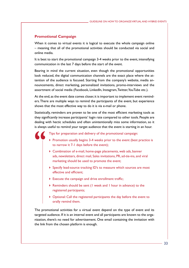## **Promotional Campaign**

When it comes to virtual events it is logical to execute the whole campaign online – meaning that all of the promotional activities should be conducted via social and online media.

It is best to start the promotional campaign 3-4 weeks prior to the event, intensifying communication in the last 7 days before the start of the event.

Bearing in mind the current situation, even though the promotional opportunities look reduced, the digital communication channels are the exact place where the attention of the audience is focused. Starting from the company's website, media announcements, direct marketing, personalized invitations, promo-interviews and the assortment of social media (Facebook, LinkedIn, Instagram, Twitter, YouTube etc.).

At the end, as the event date comes closer, it is important to implement event reminders. There are multiple ways to remind the participants of the event, but experience shows that the most effective way to do it is via e-mail or phone.

Statistically, reminders are proven to be one of the most efficient marketing tools as they significantly increase participants' login rate compared to other tools. People are dealing with hectic schedules and often unintentionally miss some information, so it is always useful to remind your target audience that the event is starting in an hour.

Tips for preparation and delivery of the promotional campaign:

- Promotion usually begins 3-4 weeks prior to the event (best practice is to narrow it 7-1 days before the event);
- Combination of e-mail, home-page placements, web ads, banner ads, newsletters, direct mail, Sales invitations, PR, ad-tie-ins, and viral marketing should be used to promote the event;
- Specify lead-source tracking ID's to measure which sources are most effective and efficient;
- Execute the campaign and drive enrollment traffic;
- Reminders should be sent (1 week and 1 hour in advance) to the registered participants;
- Optional: Call the registered participants the day before the event to orally remind them.

The promotional activities for a virtual event depend on the type of event and its targeted audience. If it is an internal event and all participants are known to the organization, there's no need for advertisement. One email containing the invitation with the link from the chosen platform is enough.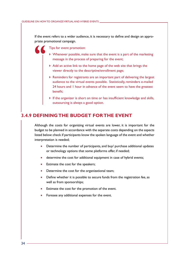If the event refers to a wider audience, it is necessary to define and design an appropriate promotional campaign.

Tips for event promotion:

- Whenever possible, make sure that the event is a part of the marketing message in the process of preparing for the event;
- Add an active link to the home page of the web site that brings the viewer directly to the descriptive/enrollment page;
- Reminders for registrants are an important part of delivering the largest audience to the virtual events possible. Statistically, reminders e-mailed 24 hours and 1 hour in advance of the event seem to have the greatest benefit;
- If the organizer is short on time or has insufficient knowledge and skills, outsourcing is always a good option.

# **3.4.9 DEFINING THE BUDGET FOR THE EVENT**

Although the costs for organizing virtual events are lower, it is important for the budget to be planned in accordance with the separate costs depending on the aspects listed below: check if participants know the spoken language of the event and whether interpretation is needed;

- Determine the number of participants, and buy/ purchase additional updates or technology options that some platforms offer, if needed;
- determine the cost for additional equipment in case of hybrid events;
- Estimate the cost for the speakers;
- Determine the cost for the organizational team;
- Define whether it is possible to secure funds from the registration fee, as well as from sponsorships;
- Estimate the cost for the promotion of the event.
- Foresee any additional expenses for the event.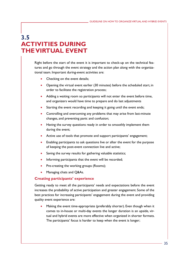# **3.5 ACTIVITIES DURING THE VIRTUAL EVENT**

Right before the start of the event it is important to check-up on the technical features and go through the event strategy and the action plan along with the organizational team. Important during-event activities are:

- Checking on the event details;
- Opening the virtual event earlier (30 minutes) before the scheduled start, in order to facilitate the registration process;
- Adding a waiting room so participants will not enter the event before time, and organizers would have time to prepare and do last adjustments
- Starting the event recording and keeping it going until the event ends;
- Controlling and overcoming any problems that may arise from last-minute changes, and preventing panic and confusion;
- Having the survey questions ready in order to smoothly implement them during the event;
- Active use of tools that promote and support participants' engagement;
- Enabling participants to ask questions live or after the event for the purpose of keeping the post-event connection live and active;
- Saving the survey results for gathering valuable statistics;
- Informing participants that the event will be recorded;
- Pre-creating the working groups (Rooms);
- Managing chats and Q&As.

#### **Creating participants' experience**

Getting ready to meet all the participants' needs and expectations before the event increases the probability of active participation and greater engagement. Some of the best practices for increasing participants' engagement during the event and providing quality event experience are:

Making the event time-appropriate (preferably shorter). Even though when it comes to in-house or multi-day events the longer duration is an upside, virtual and hybrid events are more effective when organized in shorter formats. The participants' focus is harder to keep when the event is longer;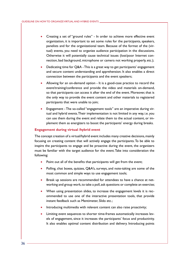- Creating a set of "ground rules" In order to achieve more effective event organization, it is important to set some rules for the participants, speakers, panelists and for the organizational team. Because of the format of the (virtual) events, you need to organize audience participation in the discussions. Otherwise it will potentially cause technical issues (lost/poor Internet connection, bad background, microphone or camera not working properly, etc.);
- Dedicating time for Q&A This is a great way to get participants' engagement and secure content understanding and apprehension. It also enables a direct connection between the participants and the event speakers;
- Allowing for an on-demand option It is a good-case practice to record the event/training/conference and provide the video and materials on-demand, so that participants can access it after the end of the event. Moreover, that is the only way to provide the event content and other materials to registered participants that were unable to join;
- Engagement The so-called "engagement tools" are an imperative during virtual and hybrid events. Their implementation is not limited in any way, i.e. you can use them during the event and relate them to the actual content, or implement them as energizers to boost the participants' energy during breaks.

#### **Engagement during virtual /hybrid event**

The concept creation of a virtual/hybrid event includes many creative decisions, mainly focusing on creating content that will actively engage the participants. To be able to inspire the participants to engage and be proactive during the event, the organizers must be familiar with the target audience for the event. Take into consideration the following:

- Point out all of the benefits that participants will get from the event;
- Polling, chat boxes, quizzes, Q&A's, surveys, and note-taking are some of the most common and simple ways to use engagement tools;
- Break up sessions are recommended for attendees to have a chance at networking and group work, to take a poll, ask questions or complete an exercise;
- When using presentation slides, to increase the engagement levels it is recommended to use one of the interactive presentation tools, that provide instant feedback such as M[entimeter](https://www.mentimeter.com/), S[lido](https://www.sli.do/) etc.;
- Introducing multimedia with relevant content can also raise proactivity;
- Limiting event sequences to shorter time-frames automatically increases levels of engagement, since it increases the participants' focus and productivity. It also enables optimal content distribution and delivery. Introducing points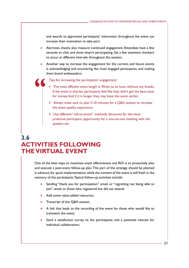and awards to appreciate participants' interaction throughout the event can increase their motivation to take part;

- Alertness checks also measure continued engagement. Attendees have a few seconds to click and show they're participating. Set a few attention checkers to occur at different intervals throughout the session;
- Another way to increase the engagement for the current, and future events is acknowledging and uncovering the most engaged participants, and making them brand ambassadors.

Tips for increasing the participants' engagement:

- The most efficient event length is 45min to an hour, without any breaks. If the event is shorter, participants feel like they didn't get the best value for money. And if it is longer they may leave the event earlier.
- Always make sure to plan 5-10 minutes for a Q&A session to increase the event quality experience.
- Use different "call-to-action" methods: discounts for the most proactive participant, opportunity for a one-on-one meeting with the speaker, etc.

# **3.6 ACTIVITIES FOLLOWING THE VIRTUAL EVENT**

One of the best ways to maximize event effectiveness and ROI is to proactively plan and execute a post-event follow-up plan. This part of the strategy should be planned in advance, for quick implementation, while the content of the event is still fresh in the memory of the participants. Typical follow-up activities include:

- Sending "thank you for participation" email, or "regretting not being able to join" email, to those who registered but did not attend;
- Add some value-added resources;
- Transcript of the Q&A session;
- A link that leads to the recording of the event for those who would like to (re)watch the event;
- Send a satisfaction survey to the participants, and a potential interest for individual collaboration;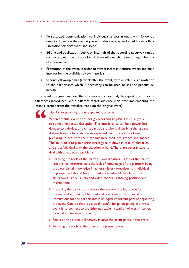- Personalized communication to individuals and/or groups, with follow-up question based on their activity level on the event, as well as additional offers (invitation for next event and so on);
- Editing and publication (public or internal) of the recording (a survey can be conducted, with the purpose for all those who watch the recording to be part of a research);
- Promotion of the event, in order to attract interest in future events and build interest for the available review materials;
- Second follow-up email (a week after the event) with an offer or an invitation to the participants which, if necessary, can be used to sell the product or service.

If the event is a great success, there comes an opportunity to repeat it, with some differences introduced, and a different target audience (this time implementing the lessons learned from the mistakes made on the original event).

#### Tips for overcoming the unexpected obstacles:

When a virtual event does not go according to plan, it is usually due to some unexpected disruption. This interference can be a power loss, damage to a device, or even a participant who is disturbing the program. Although such obstacles are an expected part of any type of event, preparing to deal with them can minimize their occurrence and impact. The solution is to plan a crisis strategy, calm down in case of obstacles, and gracefully deal with the situation at hand. There are several ways to deal with unexpected problems:

- Learning the tools of the platform you are using One of the major reasons for interference is the lack of knowledge of the platform being used (or digital knowledge in general). Every organizer (or individual implementer) should have a broad knowledge of the platform and all its tools. Proper audio and video checks - lightning, position and microphone;
- $\triangleright$  Preparing the participants before the event Sharing advice for the technology that will be used and preparing a user manual or instructions for the participants is an equal important part of organizing the event. One tip that is especially useful for participating in a virtual event is to connect to the Ethernet cable instead of wireless Internet, to avoid connection problems;
- Focus on tools that will actively involve the participants in the event;
- $\triangleright$  Teaching the tools at the time of the presentation;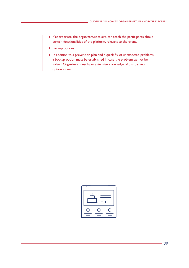- If appropriate, the organizers/speakers can teach the participants about certain functionalities of the platform, relevant to the event.
- ▶ Backup options
- In addition to a prevention plan and a quick fix of unexpected problems, a backup option must be established in case the problem cannot be solved. Organizers must have extensive knowledge of this backup option as well.

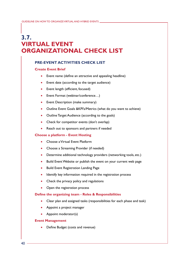# **3.7. VIRTUAL EVENT ORGANIZATIONAL CHECK LIST**

## **PRE-EVENT ACTIVITIES CHECK LIST**

## **Create Event Brief**

- Event name (define an attractive and appealing headline)
- Event date (according to the target audience)
- Event length (efficient, focused)
- Event Format (webinar/conference...)
- Event Description (make summary)
- Outline Event Goals & KPI's/Metrics (what do you want to achieve)
- Outline Target Audience (according to the goals)
- Check for competitor events (don't overlap)
- Reach out to sponsors and partners if needed

## **Choose a platform - Event Hosting**

- Choose a Virtual Event Platform
- Choose a Streaming Provider (if needed)
- Determine additional technology providers (networking tools, etc.)
- Build Event Website or publish the event on your current web page
- • Build Event Registration Landing Page
- Identify key information required in the registration process
- Check the privacy policy and regulations
- Open the registration process

#### **Define the organizing team - Roles & Responsibilities**

- Clear plan and assigned tasks (responsibilities for each phase and task)
- Appoint a project manager
- Appoint moderator(s)

#### **Event Management**

• Define Budget (costs and revenue)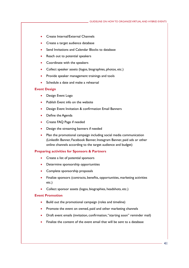- Create Internal/External Channels
- Create a target audience database
- Send Invitations and Calendar Blocks to database
- Reach out to potential speakers
- Coordinate with the speakers
- Collect speaker assets (logos, biographies, photos, etc.)
- Provide speaker management trainings and tools
- Schedule a date and make a rehearsal

#### **Event Design**

- Design Event Logo
- Publish Event info on the website
- Design Event Invitation & confirmation Email Banners
- Define the Agenda
- • Create FAQ Page if needed
- Design the streaming banners if needed
- Plan the promotional campaign including social media communication (LinkedIn Banner, Facebook Banner, Instagram Banner, paid ads or other online channels according to the target audience and budget)

#### **Preparing activities for Sponsors & Partners**

- Create a list of potential sponsors
- Determine sponsorship opportunities
- Complete sponsorship proposals
- Finalize sponsors (contracts, benefits, opportunities, marketing activities etc.)
- Collect sponsor assets (logos, biographies, headshots, etc.)

#### **Event Promotion**

- Build out the promotional campaign (roles and timeline)
- Promote the event on owned, paid and other marketing channels
- Draft event emails (invitation, confirmation, "starting soon" reminder mail)
- Finalize the content of the event email that will be sent to a database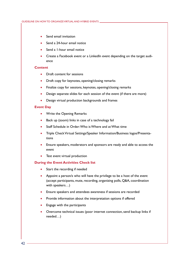- Send email invitation
- Send a 24-hour email notice
- Send a 1-hour email notice
- Create a Facebook event or a LinkedIn event depending on the target audience

#### **Content**

- Draft content for sessions
- Draft copy for keynotes, opening/closing remarks
- Finalize copy for sessions, keynotes, opening/closing remarks
- Design separate slides for each session of the event (if there are more)
- Design virtual production backgrounds and frames

#### **Event Day**

- Write the Opening Remarks
- Back up (zoom) links in case of a technology fail
- Staff Schedule in Order: Who is Where and at What time
- Triple Check Virtual Settings/Speaker Information/Business logos/Presentations
- Ensure speakers, moderators and sponsors are ready and able to access the event
- Test event virtual production

#### **During the Event Activities Check list**

- Start the recording if needed
- Appoint a person/s who will have the privilege to be a host of the event (accept participants, mute, recording, organizing polls, Q&A, coordination with speakers…)
- Ensure speakers and attendees awareness if sessions are recorded
- Provide information about the interpretation options if offered
- Engage with the participants
- Overcome technical issues (poor internet connection, send backup links if needed…)

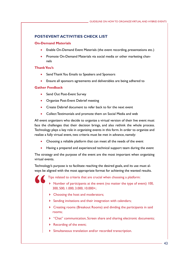## **POST-EVENT ACTIVITIES CHECK LIST**

#### **On-Demand Materials**

- Enable On-Demand Event Materials (the event recording, presentations etc.)
- Promote On-Demand Materials via social media or other marketing channels

## **Thank You's**

- Send Thank You Emails to Speakers and Sponsors
- Ensure all sponsors agreements and deliverables are being adhered to

## **Gather Feedback**

- Send Out Post-Event Survey
- Organize Post-Event Debrief meeting
- Create Debrief document to refer back to for the next event
- Collect Testimonials and promote them on Social Media and web

All event organizers who decide to organize a virtual version of their live event must face the challenges that their decision brings, and also rethink the whole process. Technology plays a key role in organizing events in this form. In order to organize and realize a fully virtual event, two criteria must be met in advance, namely:

- Choosing a reliable platform that can meet all the needs of the event
- Having a prepared and experienced technical support team during the event

The strategy and the purpose of the event are the most important when organizing virtual events.

Technology's purpose is to facilitate reaching the desired goals, and its use must always be aligned with the most appropriate format for achieving the wanted results.

Tips related to criteria that are crucial when choosing a platform:

- Number of participants at the event (no matter the type of event) 100, 300, 500, 1.000, 3.000, 10.000+;
- ▶ Choosing the host and moderators;
- $\triangleright$  Sending invitations and their integration with calendars;
- Creating rooms (Breakout Rooms) and dividing the participants in said rooms;
- "Chat" communication, Screen share and sharing electronic documents;
- Recording of the event;
- Simultaneous translation and/or recorded transcription.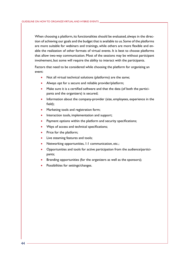When choosing a platform, its functionalities should be evaluated, always in the direction of achieving our goals and the budget that is available to us. Some of the platforms are more suitable for webinars and trainings, while others are more flexible and enable the realization of other formats of virtual events. It is best to choose platforms that allow two-way communication. Most of the sessions may be without participant involvement, but some will require the ability to interact with the participants.

Factors that need to be considered while choosing the platform for organizing an event:

- Not all virtual technical solutions (platforms) are the same;
- Always opt for a secure and reliable provider/platform;
- Make sure it is a certified software and that the data (of both the participants and the organizers) is secured;
- Information about the company-provider (size, employees, experience in the field);
- Marketing tools and registration form;
- Interaction tools, implementation and support;
- Payment options within the platform and security specifications;
- Ways of access and technical specifications;
- Price for the platform;
- Live steaming features and tools;
- Networking opportunities, 1:1 communication, etc.;
- Opportunities and tools for active participation from the audience/participants;
- Branding opportunities (for the organizers as well as the sponsors);
- Possibilities for settings/changes.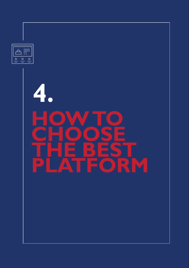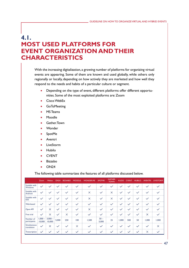# **4.1. MOST USED PLATFORMS FOR EVENT ORGANIZATION AND THEIR CHARACTERISTICS**

With the increasing digitalization, a growing number of platforms for organizing virtual events are appearing. Some of them are known and used globally, while others only regionally or locally, depending on how actively they are marketed and how well they respond to the needs and habits of a particular culture or segment.

- Depending on the type of event, different platforms offer different opportunities. Some of the most exploited platforms are: Zoom
- Cisco WebEx
- **GoToMeeting**
- **MS Teams**
- • Moodle
- Gather.Town
- **Wonder**
- SpotMe
- **Aventri**
- **LiveStorm**
- **Hubilo**
- **CVENT**
- **Bizzabo**
- $\bullet$  ON24

The following table summarizes the features of all platforms discussed below.

|                                    | Zoom         | Webex                       | <b>ON24</b>  | <b>BIZAABO</b> | <b>MOODLE</b> | <b>WONDER.ME</b> | <b>SPOTME</b>            | <b>GATHER.</b><br><b>TOWN</b> | <b>KUDO</b>  | <b>CVENT</b> | <b>HUBILO</b> | <b>AVENTRI</b> | <b>LIVESTORM</b> |
|------------------------------------|--------------|-----------------------------|--------------|----------------|---------------|------------------|--------------------------|-------------------------------|--------------|--------------|---------------|----------------|------------------|
| Suitable with<br>Windows           | $\checkmark$ |                             |              | $\checkmark$   | $\checkmark$  |                  | ×.                       | $\checkmark$                  |              |              |               |                |                  |
| Suitable with<br>Android           | $\checkmark$ | $\checkmark$                | $\checkmark$ | $\checkmark$   | $\checkmark$  | $\times$         | $\checkmark$             | $\times$                      | $\checkmark$ | $\checkmark$ | $\checkmark$  | $\checkmark$   | $\checkmark$     |
| Suitable with<br><b>IOS</b>        | $\checkmark$ | $\checkmark$                | $\checkmark$ | $\checkmark$   | $\checkmark$  | $\times$         | $\checkmark$             | $\times$                      | $\checkmark$ | $\checkmark$ | $\checkmark$  | $\checkmark$   | $\checkmark$     |
| Web-based                          |              |                             |              | $\checkmark$   |               |                  | x.                       |                               |              | $\checkmark$ |               |                |                  |
| Open API                           |              | $\times$                    | $\checkmark$ | $\checkmark$   | $\checkmark$  | $\times$         | $\checkmark$             | $\checkmark$                  | $\checkmark$ | $\checkmark$ |               |                | $\checkmark$     |
| Free trial                         | $\checkmark$ | $\times$                    | $\checkmark$ | $\times$       | $\checkmark$  | $\checkmark$     | $\checkmark$             | $\checkmark$                  | $\checkmark$ | $\checkmark$ | $\checkmark$  | $\times$       | $\checkmark$     |
| Number of<br>participants          | 10,000       | $1,000 - 3,000 -$<br>10,000 | 5,000        | 250            | 100           | 1,500            | $50 -$<br>5,000          | 25                            | 1,000        | 500          | 50            | 1,000          | 1,000            |
| <b>Simultaneous</b><br>translation | $\checkmark$ | $\times$                    | $\checkmark$ | $\checkmark$   | $\times$      | $\checkmark$     | $\checkmark$             | $\checkmark$                  | $\checkmark$ | $\checkmark$ | $\checkmark$  | $\checkmark$   | $\times$         |
| <b>Transcription</b>               | $\checkmark$ |                             |              | $\checkmark$   |               |                  | $\overline{\phantom{a}}$ |                               |              |              |               | $\times$       |                  |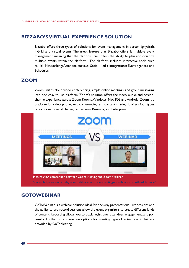## **[BIZZABO'S VIRTUAL EXPERIENCE SOLUTION](https://www.bizzabo.com/)**

Bizzabo offers three types of solutions for event management: in-person (physical), hybrid and virtual events. The great feature that Bizzabo offers is multiple event management, meaning that the platform itself offers the ability to plan and organize multiple events within the platform. The platform includes interactive tools such as: 1:1 Networking; Attendee surveys; Social Media integrations; Event agendas and Schedules.

## **[ZOOM](https://zoom.us/)**

Zoom unifies cloud video conferencing, simple online meetings, and group messaging into one easy-to-use platform. Zoom's solution offers the video, audio, and screensharing experience across Zoom Rooms, Windows, Mac, iOS and Android. Zoom is a platform for video, phone, web conferencing and content sharing. It offers four types of solutions: Free of charge; Pro version; Business, and Enterprise.



## **[GOTOWEBINAR](https://www.goto.com/webinar)**

GoToWebinar is a webinar solution ideal for one-way presentations. Live sessions and the ability to pre-record sessions allow the event organizers to create different kinds of content. Reporting allows you to track registrants, attendees, engagement, and poll results. Furthermore, there are options for meeting type of virtual event that are provided by GoToMeeting.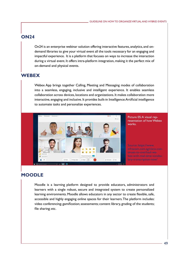## **[ON24](https://www.on24.com/)**

On24 is an enterprise webinar solution offering interactive features, analytics, and ondemand libraries to give your virtual event all the tools necessary for an engaging and impactful experience. It is a platform that focuses on ways to increase the interaction during a virtual event. It offers intra-platform integration, making it the perfect mix of on-demand and physical events.

## **[WEBEX](https://www.webex.com/)**

Webex App brings together Calling, Meeting and Messaging modes of collaboration into a seamless, engaging, inclusive and intelligent experience. It enables seamless collaboration across devices, locations and organizations. It makes collaboration more interactive, engaging and inclusive. It provides built-in Intelligence: Artificial intelligence to automate tasks and personalize experiences.



Picture 05: A visual representation of how Webex works.

Source: [https://www.](https://www.infracom.com.sg/cisco-continues-to-overhaul-webex-with-real-time-vocabulary-transcription-now/) [infracom.com.sg/cisco-con](https://www.infracom.com.sg/cisco-continues-to-overhaul-webex-with-real-time-vocabulary-transcription-now/)[tinues-to-overhaul-we](https://www.infracom.com.sg/cisco-continues-to-overhaul-webex-with-real-time-vocabulary-transcription-now/)[bex-with-real-time-vocabu](https://www.infracom.com.sg/cisco-continues-to-overhaul-webex-with-real-time-vocabulary-transcription-now/)[lary-transcription-now/](https://www.infracom.com.sg/cisco-continues-to-overhaul-webex-with-real-time-vocabulary-transcription-now/)

# **[MOODLE](https://moodle.org/)**

Moodle is a learning platform designed to provide educators, administrators and learners with a single robust, secure and integrated system to create personalized learning environments. Moodle allows educators in any sector to create flexible, safe, accessible and highly engaging online spaces for their learners. The platform includes: video conferencing; gamification; assessments; content library, grading of the students; file sharing; etc.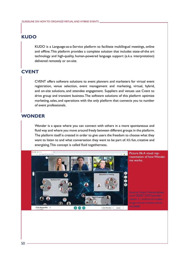## **[KUDO](https://kudoway.com/)**

KUDO is a Language-as-a-Service platform to facilitate multilingual meetings, online and offline. This platform provides a complete solution that includes state-of-the art technology and high-quality, human-powered language support (a.k.a. interpretation) delivered remotely or on-site.

## **[CVENT](https://www.cvent.com/)**

CVENT offers software solutions to event planners and marketers for virtual event registration, venue selection, event management and marketing, virtual, hybrid, and on-site solutions, and attendee engagement. Suppliers and venues use Cvent to drive group and transient business. The software solutions of this platform optimize marketing, sales, and operations with the only platform that connects you to number of event professionals.

## **[WONDER](https://www.wonder.me/)**

Wonder is a space where you can connect with others in a more spontaneous and fluid way and where you move around freely between different groups in the platform. The platform itself is created in order to give users the freedom to choose what they want to listen to and what conversation they want to be part of. It's fun, creative and energizing. This concept is called fluid togetherness.



Picture 06: A visual representation of how Wonder. me works.

Source: https://venturebeat. com/2020/12/07/wonderraises-11-million-to-makelarge-virtual-events-more-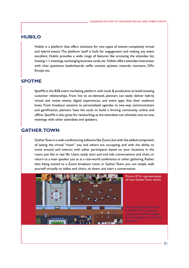## **[HUBILO](https://hubilo.com/)**

Hubilo is a platform that offers solutions for two types of events: completely virtual and hybrid events. The platform itself is built for engagement and making any event excellent. Hubilo provides a wide range of features like accessing the attendee list, hosting 1-1 meetings, exchanging business cards, etc. Hubilo offers attendee interaction with chat; questions; leaderboards; selfie contest; quizzes; rewards; reactions; GIFs; Emojis; etc.

## **[SPOTME](https://spotme.com/)**

SpotMe is the B2B event marketing platform with tools & production to build amazing customer relationships. From live to on-demand, planners can easily deliver hybrid, virtual and onsite events, digital experiences, and event apps that their audience loves. From breakout sessions to personalized agendas to two-way communication and gamification, planners have the tools to build a thriving community online and offline. SpotMe is also great for networking, as the attendees can schedule one-on-one meetings with other attendees and speakers.

## **[GATHER.TOWN](https://www.gather.town/)**

Gather.Town is a web-conferencing software like Zoom, but with the added component of seeing the virtual "room" you and others are occupying, and with the ability to move around and interact with other participants based on your locations in the room, just like in real life. Users easily start and end side conversations and chats, or return to a main speaker just as at a real-world conference or other gathering. Rather than being moved to a Zoom breakout room, in Gather. Town, you can simply walk yourself virtually to tables and chairs, sit down, and start a conversation.



Picture 07: A representation of how Gather.Town works

Source: [https://techcrunch.](https://techcrunch.com/2021/03/11/sequoia-capital-puts-millions-of-dollars-into-gather-a-virtual-hq-platform/) [com/2021/03/11/sequoia](https://techcrunch.com/2021/03/11/sequoia-capital-puts-millions-of-dollars-into-gather-a-virtual-hq-platform/)[capital-puts-millions-of-dol](https://techcrunch.com/2021/03/11/sequoia-capital-puts-millions-of-dollars-into-gather-a-virtual-hq-platform/)[lars-into-gather-a-virtual-hq-](https://techcrunch.com/2021/03/11/sequoia-capital-puts-millions-of-dollars-into-gather-a-virtual-hq-platform/)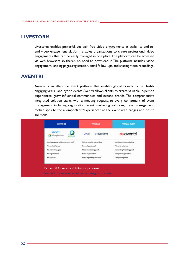## **[LIVESTORM](https://livestorm.co/)**

Livestorm enables powerful, yet pain-free video engagements at scale. Its end-toend video engagement platform enables organizations to create professional video engagements that can be easily managed in one place. The platform can be accessed via web browsers so there's no need to download it. The platform includes: video engagement; landing pages, registration, email follow-ups, and sharing video recordings.

## **[AVENTRI](https://www.aventri.com/)**

Aventri is an all-in-one event platform that enables global brands to run highly engaging virtual and hybrid events. Aventri allows clients to create valuable in-person experiences, grow influential communities and expand brands. The comprehensive integrated solution starts with a meeting request, to every component of event management including registration, event marketing solutions, travel management, mobile apps to the all-important "experience" at the event with badges and onsite solutions.

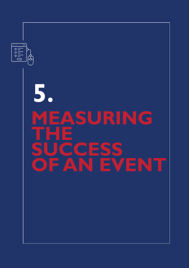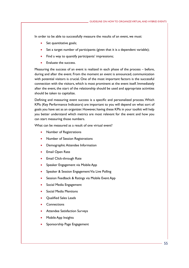In order to be able to successfully measure the results of an event, we must:

- Set quantitative goals;
- Set a target number of participants (given that it is a dependent variable);
- Find a way to quantify participants' impressions;
- Evaluate the success.

Measuring the success of an event is realized in each phase of the process – before, during and after the event. From the moment an event is announced, communication with potential visitors is crucial. One of the most important factors is the successful connection with the visitors, which is most prominent at the event itself. Immediately after the event, the start of the relationship should be used and appropriate activities should be taken to capitalize.

Defining and measuring event success is a specific and personalized process. Which KPIs (Key Performance Indicators) are important to you will depend on what sort of goals you have set as an organizer. However, having these KPIs in your toolkit will help you better understand which metrics are most relevant for the event and how you can start measuring those numbers.

What can be measured as a result of one virtual event?

- Number of Registrations
- Number of Session Registrations
- Demographic Attendee Information
- **Email Open Rate**
- **Email Click-through Rate**
- Speaker Engagement via Mobile App
- Speaker & Session Engagement Via Live Polling
- Session Feedback & Ratings via Mobile Event App
- Social Media Engagement
- **Social Media Mentions**
- **Oualified Sales Leads**
- **Connections**
- **•** Attendee Satisfaction Surveys
- Mobile App Insights
- Sponsorship Page Engagement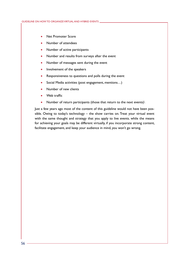- Net Promoter Score
- Number of attendees
- Number of active participants
- Number and results from surveys after the event
- Number of messages sent during the event
- Involvement of the speakers
- Responsiveness to questions and polls during the event
- Social Media activities (post engagement, mentions...)
- Number of new clients
- Web traffic
- Number of return participants (those that return to the next events) $\setminus$

Just a few years ago most of the content of this guideline would not have been possible. Owing to today's technology – the show carries on. Treat your virtual event with the same thought and strategy that you apply to live events. while the means for achieving your goals may be different virtually, if you incorporate strong content, facilitate engagement, and keep your audience in mind, you won't go wrong.